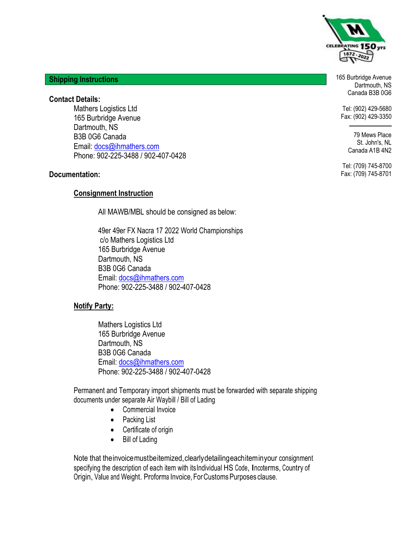

**Shipping Instructions**

**Contact Details:**

Mathers Logistics Ltd 165 Burbridge Avenue Dartmouth, NS B3B 0G6 Canada Email: docs@ihmathers.com Phone: 902-225-3488 / 902-407-0428

#### **Documentation:**

#### **Consignment Instruction**

All MAWB/MBL should be consigned as below:

49er 49er FX Nacra 17 2022 World Championships c/o Mathers Logistics Ltd 165 Burbridge Avenue Dartmouth, NS B3B 0G6 Canada Email: docs@ihmathers.com Phone: 902-225-3488 / 902-407-0428

#### **Notify Party:**

Mathers Logistics Ltd 165 Burbridge Avenue Dartmouth, NS B3B 0G6 Canada Email: docs@ihmathers.com Phone: 902-225-3488 / 902-407-0428

Permanent and Temporary import shipments must be forwarded with separate shipping documents under separate Air Waybill / Bill of Lading

- Commercial Invoice
- Packing List
- Certificate of origin
- Bill of Lading

Note that the invoice must be itemized, clearly detailing each item in your consignment specifying the description of each item with itsIndividual HS Code, Incoterms, Country of Origin, Value and Weight. Proforma Invoice,ForCustomsPurposes clause.

165 Burbridge Avenue Dartmouth, NS Canada B3B 0G6

Tel: (902) 429-5680 Fax: (902) 429-3350

> 79 Mews Place St. John's, NL Canada A1B 4N2

Tel: (709) 745-8700 Fax: (709) 745-8701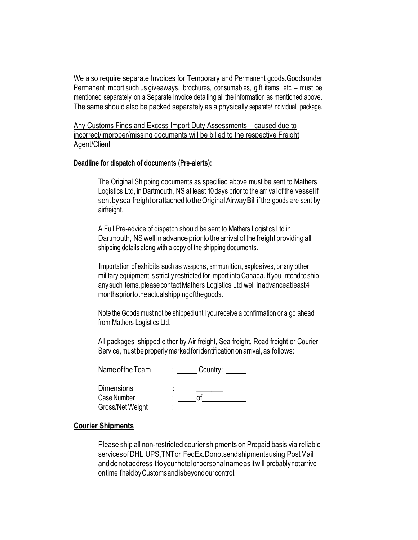We also require separate Invoices for Temporary and Permanent goods.Goodsunder Permanent Import such us giveaways, brochures, consumables, gift items, etc – must be mentioned separately on a Separate Invoice detailing all the information as mentioned above. The same should also be packed separately as a physically separate/ individual package.

Any Customs Fines and Excess Import Duty Assessments - caused due to incorrect/improper/missing documents will be billed to the respective Freight Agent/Client

#### **Deadline for dispatch of documents (Pre-alerts):**

The Original Shipping documents as specified above must be sent to Mathers Logistics Ltd, in Dartmouth, NS at least 10days prior to the arrival of the vessel if sent by sea freight or attached to the Original Airway Bill if the goods are sent by airfreight.

A Full Pre-advice of dispatch should be sent to Mathers Logistics Ltd in Dartmouth, NS well in advance prior to the arrival of the freight providing all shipping details along with a copy of the shipping documents.

Importation of exhibits such as weapons, ammunition, explosives, or any other military equipment is strictly restricted for import into Canada. If you intendtoship any such items, please contact Mathers Logistics Ltd well inadvance at least 4 monthspriortotheactualshippingofthegoods.

Note the Goods must not be shipped until you receive a confirmation or a go ahead from Mathers Logistics Ltd.

All packages, shipped either by Air freight, Sea freight, Road freight or Courier Service, must be properly marked for identification on arrival, as follows:

| Name of the Team                                     | ٠           | Country: |
|------------------------------------------------------|-------------|----------|
| <b>Dimensions</b><br>Case Number<br>Gross/Net Weight | ٠<br>٠<br>٠ |          |

#### **Courier Shipments**

Please ship all non-restricted courier shipments on Prepaid basis via reliable servicesofDHL,UPS,TNTor FedEx.Donotsendshipmentsusing PostMail anddonotaddressittoyourhotelorpersonalnameasitwill probablynotarrive ontimeifheldbyCustomsandisbeyondourcontrol.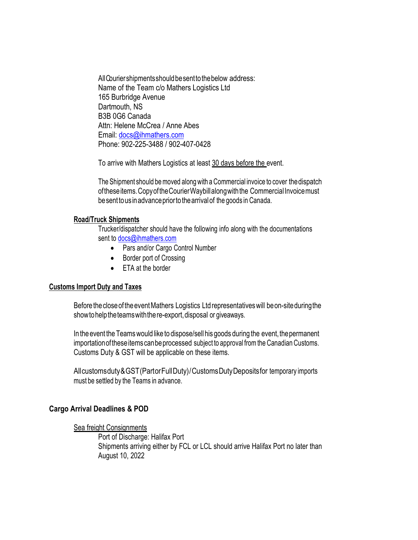All Courier shipments should be sent to the below address: Name of the Team c/o Mathers Logistics Ltd 165 Burbridge Avenue Dartmouth, NS B3B 0G6 Canada Attn: Helene McCrea / Anne Abes Email: docs@ihmathers.com Phone: 902-225-3488 / 902-407-0428

To arrive with Mathers Logistics at least 30 days before the event.

The Shipment should be moved along with a Commercial invoice to cover the dispatch of these items. Copy of the Courier Waybill along with the Commercial Invoice must besenttousinadvancepriortothearrivalof the goods in Canada.

#### **Road/Truck Shipments**

Trucker/dispatcher should have the following info along with the documentations sent to docs@ihmathers.com

- Pars and/or Cargo Control Number
- Border port of Crossing
- FTA at the border

#### **Customs Import Duty and Taxes**

Before the close of the event Mathers Logistics Ltd representatives will be on-site during the show to help the teams with the re-export, disposal or giveaways.

In the event the Teams would like to dispose/sell his goods during the event, the permanent importationoftheseitemscanbeprocessed subject to approval fromthe Canadian Customs. Customs Duty & GST will be applicable on these items.

Allcustomsduty&GST(PartorFullDuty)/CustomsDutyDepositsfor temporary imports must be settled by the Teams in advance.

#### **Cargo Arrival Deadlines & POD**

#### Sea freight Consignments

Port of Discharge: Halifax Port Shipments arriving either by FCL or LCL should arrive Halifax Port no later than August 10, 2022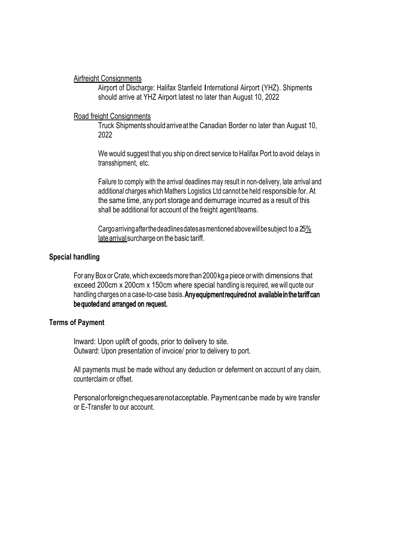Airfreight Consignments

Airport of Discharge: Halifax Stanfield International Airport (YHZ). Shipments should arrive at YHZ Airport latest no later than August 10, 2022

### Road freight Consignments

Truck Shipments shouldarriveatthe Canadian Border no later than August 10, 2022

We would suggest that you ship on direct service to Halifax Port to avoid delays in transshipment, etc.

Failure to comply with the arrival deadlines may result in non-delivery, late arrival and additional charges which Mathers Logistics Ltd cannot be held responsible for. At the same time, any port storage and demurrage incurred as a result of this shall be additional for account of the freight agent/teams.

Cargoarrivingafterthedeadlinesdatesasmentionedabovewillbesubject to a 25% late arrival surcharge on the basic tariff.

### **Special handling**

For any Box or Crate, which exceeds more than 2000kg a piece or with dimensions that exceed 200cm x 200cm x 150cm where special handling is required, we will quote our handling charges on a case-to-case basis. Any equipment required not available in the tariff can bequotedand arranged on request.

#### **Terms of Payment**

Inward: Upon uplift of goods, prior to delivery to site. Outward: Upon presentation of invoice/ prior to delivery to port.

All payments must be made without any deduction or deferment on account of any claim, counterclaim or offset.

Personalorforeignchequesarenotacceptable. Paymentcan be made by wire transfer or E-Transfer to our account.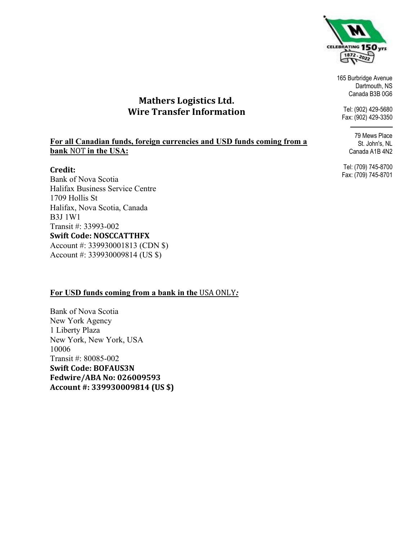

165 Burbridge Avenue Dartmouth, NS Canada B3B 0G6

Tel: (902) 429-5680 Fax: (902) 429-3350

79 Mews Place

St. John's, NL Canada A1B 4N2

Tel: (709) 745-8700 Fax: (709) 745-8701

# Mathers Logistics Ltd. Wire Transfer Information

### **For all Canadian funds, foreign currencies and USD funds coming from a bank** NOT **in the USA:**

### Credit:

Bank of Nova Scotia Halifax Business Service Centre 1709 Hollis St Halifax, Nova Scotia, Canada B3J 1W1 Transit #: 33993-002 Swift Code: NOSCCATTHFX Account #: 339930001813 (CDN \$) Account #: 339930009814 (US \$)

## **For USD funds coming from a bank in the** USA ONLY*:*

Bank of Nova Scotia New York Agency 1 Liberty Plaza New York, New York, USA 10006 Transit #: 80085-002 Swift Code: BOFAUS3N Fedwire/ABA No: 026009593 Account #: 339930009814 (US \$)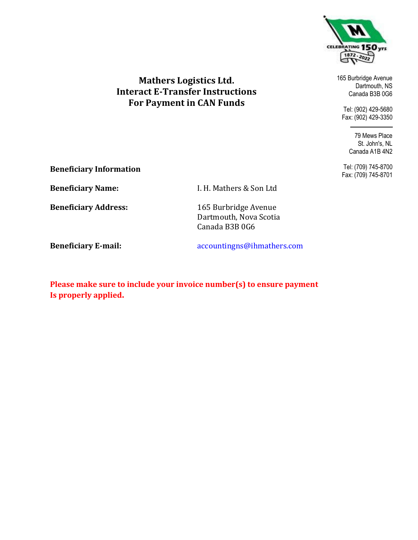

## Mathers Logistics Ltd. Interact E-Transfer Instructions For Payment in CAN Funds

165 Burbridge Avenue Dartmouth, NS Canada B3B 0G6

Tel: (902) 429-5680 Fax: (902) 429-3350

> 79 Mews Place St. John's, NL Canada A1B 4N2

Tel: (709) 745-8700 Fax: (709) 745-8701

Beneficiary Information

Beneficiary Name: I. H. Mathers & Son Ltd

Beneficiary Address: 165 Burbridge Avenue Dartmouth, Nova Scotia Canada B3B 0G6

Beneficiary E-mail: accountingns@ihmathers.com

Please make sure to include your invoice number(s) to ensure payment Is properly applied.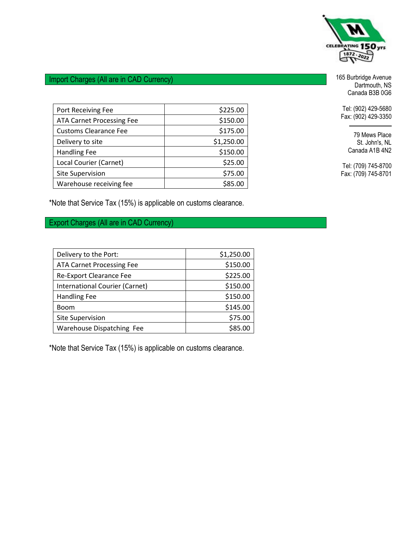

## Import Charges (All are in CAD Currency)

| Port Receiving Fee               | \$225.00   |
|----------------------------------|------------|
| <b>ATA Carnet Processing Fee</b> | \$150.00   |
| <b>Customs Clearance Fee</b>     | \$175.00   |
| Delivery to site                 | \$1,250.00 |
| <b>Handling Fee</b>              | \$150.00   |
| Local Courier (Carnet)           | \$25.00    |
| <b>Site Supervision</b>          | \$75.00    |
| Warehouse receiving fee          | \$85.00    |

\*Note that Service Tax (15%) is applicable on customs clearance.

Export Charges (All are in CAD Currency)

| Delivery to the Port:            | \$1,250.00 |
|----------------------------------|------------|
| <b>ATA Carnet Processing Fee</b> | \$150.00   |
| Re-Export Clearance Fee          | \$225.00   |
| International Courier (Carnet)   | \$150.00   |
| <b>Handling Fee</b>              | \$150.00   |
| Boom                             | \$145.00   |
| <b>Site Supervision</b>          | \$75.00    |
| Warehouse Dispatching Fee        | \$85.00    |

\*Note that Service Tax (15%) is applicable on customs clearance.

165 Burbridge Avenue Dartmouth, NS Canada B3B 0G6

Tel: (902) 429-5680 Fax: (902) 429-3350

> 79 Mews Place St. John's, NL Canada A1B 4N2

Tel: (709) 745-8700 Fax: (709) 745-8701